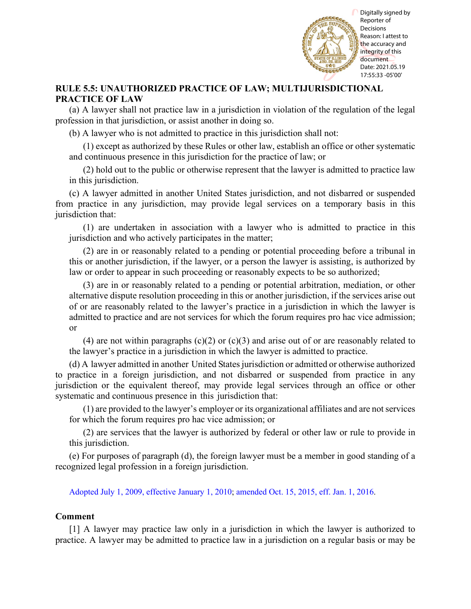

## **RULE 5.5: UNAUTHORIZED PRACTICE OF LAW; MULTIJURISDICTIONAL PRACTICE OF LAW**

(a) A lawyer shall not practice law in a jurisdiction in violation of the regulation of the legal profession in that jurisdiction, or assist another in doing so.

(b) A lawyer who is not admitted to practice in this jurisdiction shall not:

(1) except as authorized by these Rules or other law, establish an office or other systematic and continuous presence in this jurisdiction for the practice of law; or

(2) hold out to the public or otherwise represent that the lawyer is admitted to practice law in this jurisdiction.

(c) A lawyer admitted in another United States jurisdiction, and not disbarred or suspended from practice in any jurisdiction, may provide legal services on a temporary basis in this jurisdiction that:

(1) are undertaken in association with a lawyer who is admitted to practice in this jurisdiction and who actively participates in the matter;

(2) are in or reasonably related to a pending or potential proceeding before a tribunal in this or another jurisdiction, if the lawyer, or a person the lawyer is assisting, is authorized by law or order to appear in such proceeding or reasonably expects to be so authorized;

(3) are in or reasonably related to a pending or potential arbitration, mediation, or other alternative dispute resolution proceeding in this or another jurisdiction, if the services arise out of or are reasonably related to the lawyer's practice in a jurisdiction in which the lawyer is admitted to practice and are not services for which the forum requires pro hac vice admission; or **PRIAT P. S.S. UNAITHORIZED PRACTICE OF LAW; MULTILIRISDICTIONAL:**<br> **PRACTICE OF LAW**<br> **RELEVATION INTERFERIENT (PONTAGE INTERFERIENT (SOFT) ASSUMPTION CONTINUES PROPORTION ATTENT (SOFT) A hasoper who is not a propried to** 

(4) are not within paragraphs  $(c)(2)$  or  $(c)(3)$  and arise out of or are reasonably related to the lawyer's practice in a jurisdiction in which the lawyer is admitted to practice.

(d) A lawyer admitted in another United States jurisdiction or admitted or otherwise authorized to practice in a foreign jurisdiction, and not disbarred or suspended from practice in any jurisdiction or the equivalent thereof, may provide legal services through an office or other systematic and continuous presence in this jurisdiction that:

(1) are provided to the lawyer's employer or its organizational affiliates and are not services for which the forum requires pro hac vice admission; or

(2) are services that the lawyer is authorized by federal or other law or rule to provide in this jurisdiction.

(e) For purposes of paragraph (d), the foreign lawyer must be a member in good standing of a recognized legal profession in a foreign jurisdiction.

[Adopted July 1, 2009, effective January 1, 2010;](http://www.illinoiscourts.gov/files/070109.pdf/amendment) [amended Oct. 15, 2015, eff. Jan. 1, 2016.](http://www.illinoiscourts.gov/files/101515.pdf/amendment)

## **Comment**

[1] A lawyer may practice law only in a jurisdiction in which the lawyer is authorized to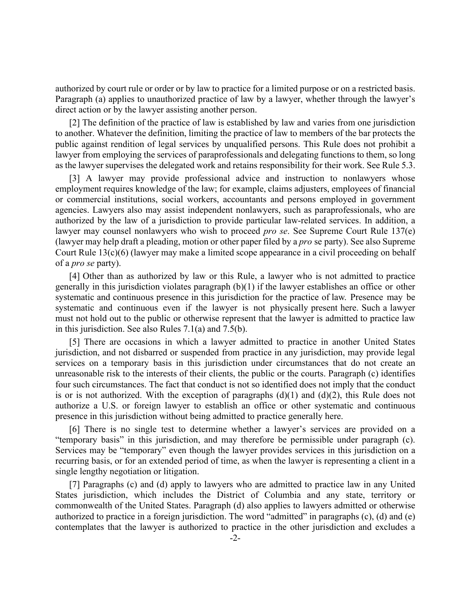authorized by court rule or order or by law to practice for a limited purpose or on a restricted basis. Paragraph (a) applies to unauthorized practice of law by a lawyer, whether through the lawyer's direct action or by the lawyer assisting another person.

[2] The definition of the practice of law is established by law and varies from one jurisdiction to another. Whatever the definition, limiting the practice of law to members of the bar protects the public against rendition of legal services by unqualified persons. This Rule does not prohibit a lawyer from employing the services of paraprofessionals and delegating functions to them, so long as the lawyer supervises the delegated work and retains responsibility for their work. See Rule 5.3.

[3] A lawyer may provide professional advice and instruction to nonlawyers whose employment requires knowledge of the law; for example, claims adjusters, employees of financial or commercial institutions, social workers, accountants and persons employed in government agencies. Lawyers also may assist independent nonlawyers, such as paraprofessionals, who are authorized by the law of a jurisdiction to provide particular law-related services. In addition, a lawyer may counsel nonlawyers who wish to proceed *pro se*. See Supreme Court Rule 137(e) (lawyer may help draft a pleading, motion or other paper filed by a *pro* se party). See also Supreme Court Rule 13(c)(6) (lawyer may make a limited scope appearance in a civil proceeding on behalf of a *pro se* party).

[4] Other than as authorized by law or this Rule, a lawyer who is not admitted to practice generally in this jurisdiction violates paragraph (b)(1) if the lawyer establishes an office or other systematic and continuous presence in this jurisdiction for the practice of law. Presence may be systematic and continuous even if the lawyer is not physically present here. Such a lawyer must not hold out to the public or otherwise represent that the lawyer is admitted to practice law in this jurisdiction. See also Rules 7.1(a) and 7.5(b).

[5] There are occasions in which a lawyer admitted to practice in another United States jurisdiction, and not disbarred or suspended from practice in any jurisdiction, may provide legal services on a temporary basis in this jurisdiction under circumstances that do not create an unreasonable risk to the interests of their clients, the public or the courts. Paragraph (c) identifies four such circumstances. The fact that conduct is not so identified does not imply that the conduct is or is not authorized. With the exception of paragraphs  $(d)(1)$  and  $(d)(2)$ , this Rule does not authorize a U.S. or foreign lawyer to establish an office or other systematic and continuous presence in this jurisdiction without being admitted to practice generally here.

[6] There is no single test to determine whether a lawyer's services are provided on a "temporary basis" in this jurisdiction, and may therefore be permissible under paragraph (c). Services may be "temporary" even though the lawyer provides services in this jurisdiction on a recurring basis, or for an extended period of time, as when the lawyer is representing a client in a single lengthy negotiation or litigation.

[7] Paragraphs (c) and (d) apply to lawyers who are admitted to practice law in any United States jurisdiction, which includes the District of Columbia and any state, territory or commonwealth of the United States. Paragraph (d) also applies to lawyers admitted or otherwise authorized to practice in a foreign jurisdiction. The word "admitted" in paragraphs (c), (d) and (e) contemplates that the lawyer is authorized to practice in the other jurisdiction and excludes a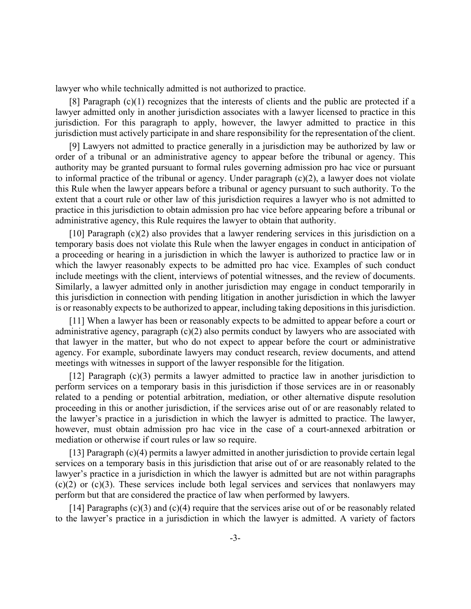lawyer who while technically admitted is not authorized to practice.

[8] Paragraph (c)(1) recognizes that the interests of clients and the public are protected if a lawyer admitted only in another jurisdiction associates with a lawyer licensed to practice in this jurisdiction. For this paragraph to apply, however, the lawyer admitted to practice in this jurisdiction must actively participate in and share responsibility for the representation of the client.

[9] Lawyers not admitted to practice generally in a jurisdiction may be authorized by law or order of a tribunal or an administrative agency to appear before the tribunal or agency. This authority may be granted pursuant to formal rules governing admission pro hac vice or pursuant to informal practice of the tribunal or agency. Under paragraph (c)(2), a lawyer does not violate this Rule when the lawyer appears before a tribunal or agency pursuant to such authority. To the extent that a court rule or other law of this jurisdiction requires a lawyer who is not admitted to practice in this jurisdiction to obtain admission pro hac vice before appearing before a tribunal or administrative agency, this Rule requires the lawyer to obtain that authority.

[10] Paragraph (c)(2) also provides that a lawyer rendering services in this jurisdiction on a temporary basis does not violate this Rule when the lawyer engages in conduct in anticipation of a proceeding or hearing in a jurisdiction in which the lawyer is authorized to practice law or in which the lawyer reasonably expects to be admitted pro hac vice. Examples of such conduct include meetings with the client, interviews of potential witnesses, and the review of documents. Similarly, a lawyer admitted only in another jurisdiction may engage in conduct temporarily in this jurisdiction in connection with pending litigation in another jurisdiction in which the lawyer is or reasonably expects to be authorized to appear, including taking depositions in this jurisdiction.

[11] When a lawyer has been or reasonably expects to be admitted to appear before a court or administrative agency, paragraph (c)(2) also permits conduct by lawyers who are associated with that lawyer in the matter, but who do not expect to appear before the court or administrative agency. For example, subordinate lawyers may conduct research, review documents, and attend meetings with witnesses in support of the lawyer responsible for the litigation.

[12] Paragraph (c)(3) permits a lawyer admitted to practice law in another jurisdiction to perform services on a temporary basis in this jurisdiction if those services are in or reasonably related to a pending or potential arbitration, mediation, or other alternative dispute resolution proceeding in this or another jurisdiction, if the services arise out of or are reasonably related to the lawyer's practice in a jurisdiction in which the lawyer is admitted to practice. The lawyer, however, must obtain admission pro hac vice in the case of a court-annexed arbitration or mediation or otherwise if court rules or law so require.

[13] Paragraph (c)(4) permits a lawyer admitted in another jurisdiction to provide certain legal services on a temporary basis in this jurisdiction that arise out of or are reasonably related to the lawyer's practice in a jurisdiction in which the lawyer is admitted but are not within paragraphs  $(c)(2)$  or  $(c)(3)$ . These services include both legal services and services that nonlawyers may perform but that are considered the practice of law when performed by lawyers.

[14] Paragraphs (c)(3) and (c)(4) require that the services arise out of or be reasonably related to the lawyer's practice in a jurisdiction in which the lawyer is admitted. A variety of factors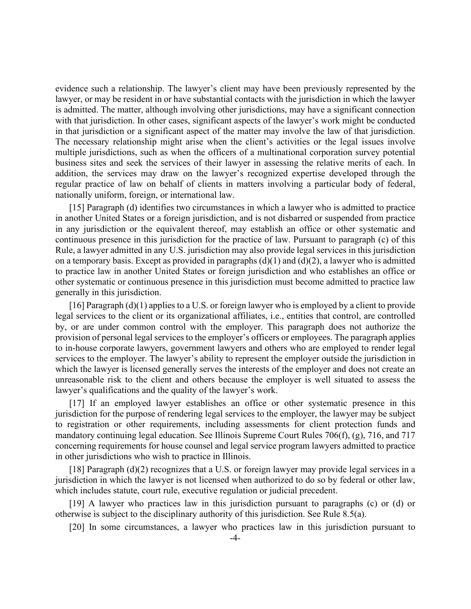evidence such a relationship. The lawyer's client may have been previously represented by the lawyer, or may be resident in or have substantial contacts with the jurisdiction in which the lawyer is admitted. The matter, although involving other jurisdictions, may have a significant connection with that jurisdiction. In other cases, significant aspects of the lawyer's work might be conducted in that jurisdiction or a significant aspect of the matter may involve the law of that jurisdiction. The necessary relationship might arise when the client's activities or the legal issues involve multiple jurisdictions, such as when the officers of a multinational corporation survey potential business sites and seek the services of their lawyer in assessing the relative merits of each. In addition, the services may draw on the lawyer's recognized expertise developed through the regular practice of law on behalf of clients in matters involving a particular body of federal, nationally uniform, foreign, or international law.

[15] Paragraph (d) identifies two circumstances in which a lawyer who is admitted to practice in another United States or a foreign jurisdiction, and is not disbarred or suspended from practice in any jurisdiction or the equivalent thereof, may establish an office or other systematic and continuous presence in this jurisdiction for the practice of law. Pursuant to paragraph (c) of this Rule, a lawyer admitted in any U.S. jurisdiction may also provide legal services in this jurisdiction on a temporary basis. Except as provided in paragraphs  $(d)(1)$  and  $(d)(2)$ , a lawyer who is admitted to practice law in another United States or foreign jurisdiction and who establishes an office or other systematic or continuous presence in this jurisdiction must become admitted to practice law generally in this jurisdiction.

[16] Paragraph (d)(1) applies to a U.S. or foreign lawyer who is employed by a client to provide legal services to the client or its organizational affiliates, i.e., entities that control, are controlled by, or are under common control with the employer. This paragraph does not authorize the provision of personal legal services to the employer's officers or employees. The paragraph applies to in-house corporate lawyers, government lawyers and others who are employed to render legal services to the employer. The lawyer's ability to represent the employer outside the jurisdiction in which the lawyer is licensed generally serves the interests of the employer and does not create an unreasonable risk to the client and others because the employer is well situated to assess the lawyer's qualifications and the quality of the lawyer's work.

[17] If an employed lawyer establishes an office or other systematic presence in this jurisdiction for the purpose of rendering legal services to the employer, the lawyer may be subject to registration or other requirements, including assessments for client protection funds and mandatory continuing legal education. See Illinois Supreme Court Rules 706(f), (g), 716, and 717 concerning requirements for house counsel and legal service program lawyers admitted to practice in other jurisdictions who wish to practice in Illinois.

[18] Paragraph (d)(2) recognizes that a U.S. or foreign lawyer may provide legal services in a jurisdiction in which the lawyer is not licensed when authorized to do so by federal or other law, which includes statute, court rule, executive regulation or judicial precedent.

[19] A lawyer who practices law in this jurisdiction pursuant to paragraphs (c) or (d) or otherwise is subject to the disciplinary authority of this jurisdiction. See Rule 8.5(a).

[20] In some circumstances, a lawyer who practices law in this jurisdiction pursuant to